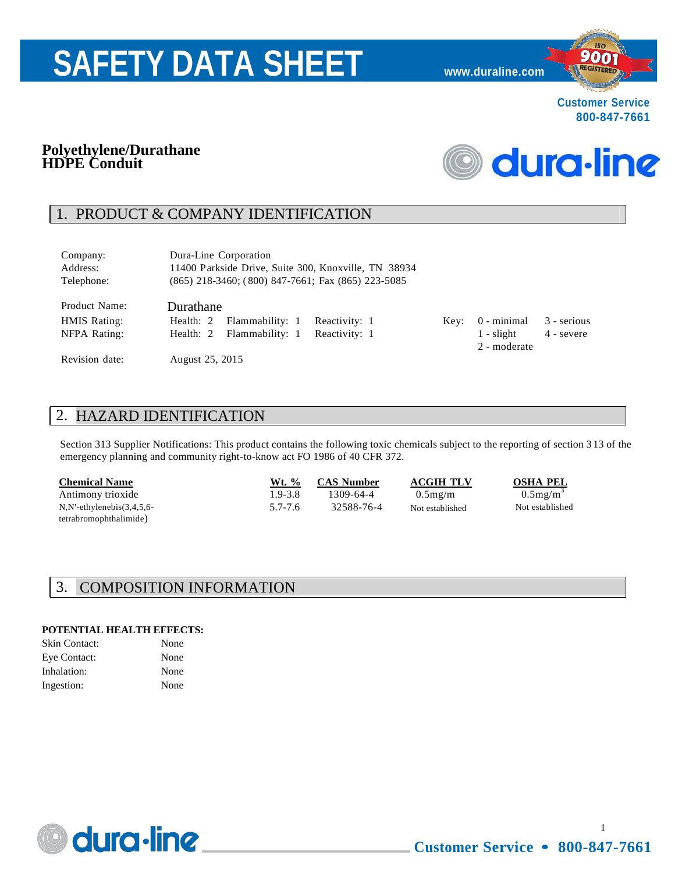# **SAFETY DATA SHEET [www.duraline.com](http://www.duraline.com/)**



900 REGISTERED

#### **Polyethylene/Durathane HDPE Conduit**



## 1. PRODUCT & COMPANY IDENTIFICATION

| Company:<br>Address:<br>Telephone: | Dura-Line Corporation<br>11400 Parkside Drive, Suite 300, Knoxville, TN 38934<br>$(865)$ 218-3460; $(800)$ 847-7661; Fax $(865)$ 223-5085 |               |      |              |             |
|------------------------------------|-------------------------------------------------------------------------------------------------------------------------------------------|---------------|------|--------------|-------------|
| Product Name:                      | Durathane                                                                                                                                 |               |      |              |             |
| <b>HMIS Rating:</b>                | Flammability: 1<br>Health: 2                                                                                                              | Reactivity: 1 | Key: | 0 - minimal  | 3 - serious |
| NFPA Rating:                       | Flammability: 1<br>Health: 2                                                                                                              | Reactivity: 1 |      | $1 -$ slight | 4 - severe  |
|                                    |                                                                                                                                           |               |      | 2 - moderate |             |
| Revision date:                     | August 25, 2015                                                                                                                           |               |      |              |             |

## 2. HAZARD IDENTIFICATION

Section 313 Supplier Notifications: This product contains the following toxic chemicals subject to the reporting of section 3 13 of the emergency planning and community right-to-know act FO 1986 of 40 CFR 372.

| <b>Chemical Name</b>            | Wt. %   | <b>CAS Number</b> | <b>ACGIH TLV</b> | <b>OSHA PEL</b>         |
|---------------------------------|---------|-------------------|------------------|-------------------------|
| Antimony trioxide               | 1.9-3.8 | 1309-64-4         | $0.5$ mg/m       | $0.5$ mg/m <sup>3</sup> |
| $N.N$ '-ethylenebis $(3,4,5,6-$ | 5.7-7.6 | 32588-76-4        | Not established  | Not established         |
| tetrabromophthalimide)          |         |                   |                  |                         |

#### 3. COMPOSITION INFORMATION

#### **POTENTIAL HEALTH EFFECTS:**

| Skin Contact: | None |
|---------------|------|
| Eye Contact:  | None |
| Inhalation:   | None |
| Ingestion:    | None |



**Customer Service • 800-847-7661**

1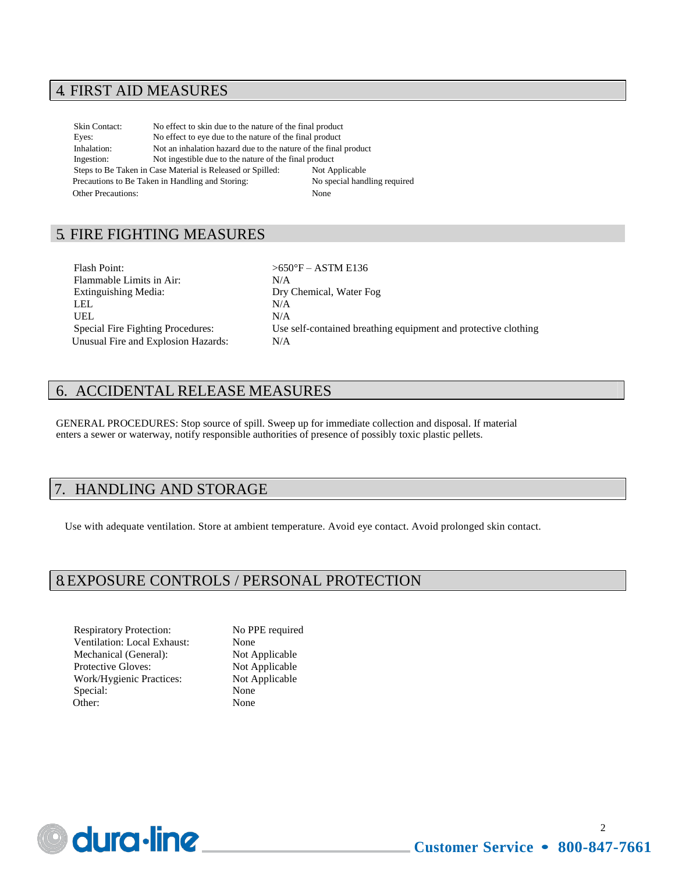#### 4. FIRST AID MEASURES

Skin Contact: No effect to skin due to the nature of the final product Eyes: No effect to eye due to the nature of the final product Inhalation: Not an inhalation hazard due to the nature of the final product Ingestion: Not ingestible due to the nature of the final product Steps to Be Taken in Case Material is Released or Spilled: Not Applicable Precautions to Be Taken in Handling and Storing: No special handling required Other Precautions: None

## 5. FIRE FIGHTING MEASURES

Flash Point:  $>650^{\circ}F - ASTM E136$ Flammable Limits in Air: N/A Extinguishing Media: Dry Chemical, Water Fog LEL N/A UEL N/A Unusual Fire and Explosion Hazards: N/A

Special Fire Fighting Procedures: Use self-contained breathing equipment and protective clothing

#### 6. ACCIDENTAL RELEASE MEASURES

GENERAL PROCEDURES: Stop source of spill. Sweep up for immediate collection and disposal. If material enters a sewer or waterway, notify responsible authorities of presence of possibly toxic plastic pellets.

#### HANDLING AND STORAGE

Use with adequate ventilation. Store at ambient temperature. Avoid eye contact. Avoid prolonged skin contact.

#### 8. EXPOSURE CONTROLS / PERSONAL PROTECTION

Respiratory Protection: No PPE required Ventilation: Local Exhaust: None Mechanical (General): Not Applicable Protective Gloves: Not Applicable Work/Hygienic Practices: Not Applicable Special: None<br>Other: None Other:

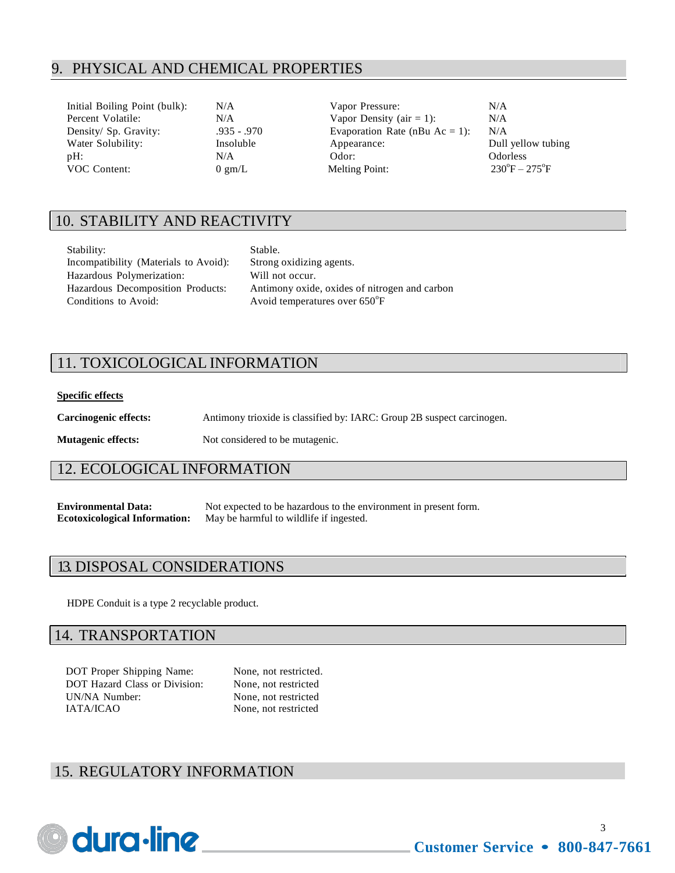### 9. PHYSICAL AND CHEMICAL PROPERTIES

| Initial Boiling Point (bulk): | N/A              | Vapor Pressure:                   | N/A                           |
|-------------------------------|------------------|-----------------------------------|-------------------------------|
| Percent Volatile:             | N/A              | Vapor Density (air $= 1$ ):       | N/A                           |
| Density/ Sp. Gravity:         | $.935 - .970$    | Evaporation Rate (nBu $Ac = 1$ ): | N/A                           |
| Water Solubility:             | Insoluble        | Appearance:                       | Dull yellow tubing            |
| $pH$ :                        | N/A              | Odor:                             | <b>Odorless</b>               |
| <b>VOC</b> Content:           | $0 \text{ gm/L}$ | <b>Melting Point:</b>             | $230^{\circ}F - 275^{\circ}F$ |

## 10. STABILITY AND REACTIVITY

| Stability:                            | Stable.                         |
|---------------------------------------|---------------------------------|
| Incompatibility (Materials to Avoid): | Strong oxidizing agents.        |
| Hazardous Polymerization:             | Will not occur.                 |
| Hazardous Decomposition Products:     | Antimony oxide, oxides of nitro |
| Conditions to Avoid:                  | Avoid temperatures over 650°F   |

xidizing agents. y oxide, oxides of nitrogen and carbon

## 11. TOXICOLOGICAL INFORMATION

#### **Specific effects**

**Carcinogenic effects:** Antimony trioxide is classified by: IARC: Group 2B suspect carcinogen.

**Mutagenic effects:** Not considered to be mutagenic.

#### 12. ECOLOGICAL INFORMATION

**Environmental Data:** Not expected to be hazardous to the environment in present form. **Ecotoxicological Information:** May be harmful to wildlife if ingested.

#### 13. DISPOSAL CONSIDERATIONS

HDPE Conduit is a type 2 recyclable product.

#### 14. TRANSPORTATION

DOT Proper Shipping Name: None, not restricted. DOT Hazard Class or Division: None, not restricted UN/NA Number: None, not restricted IATA/ICAO None, not restricted

#### 15. REGULATORY INFORMATION

## dura-line